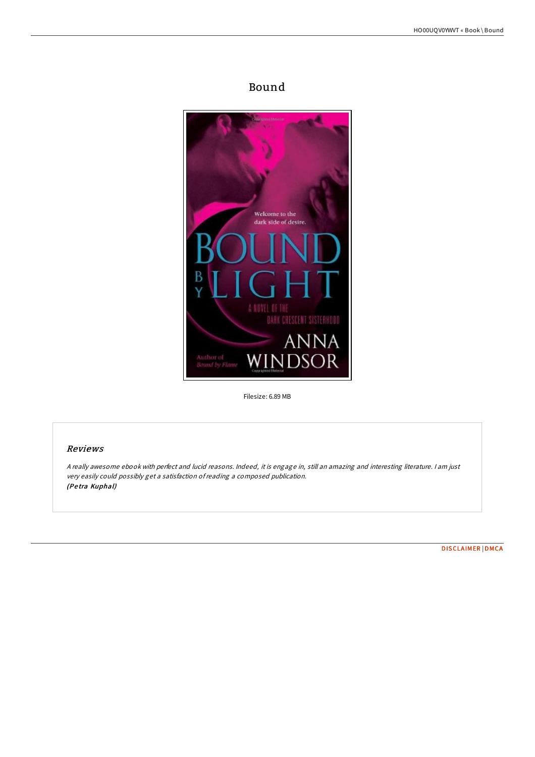# Bound



Filesize: 6.89 MB

## Reviews

<sup>A</sup> really awesome ebook with perfect and lucid reasons. Indeed, it is engage in, still an amazing and interesting literature. <sup>I</sup> am just very easily could possibly get <sup>a</sup> satisfaction ofreading <sup>a</sup> composed publication. (Pe tra Kuphal)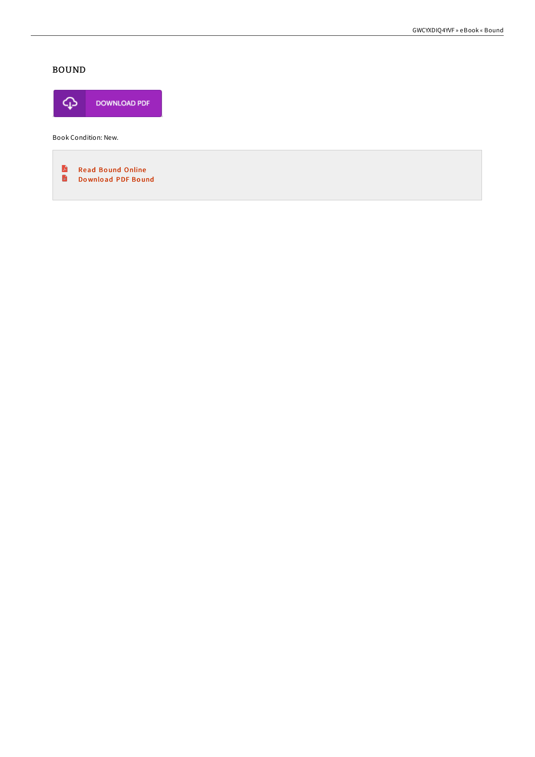# **BOUND**